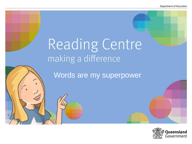# Reading Centre making a difference

Words are my superpower

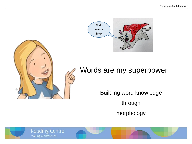



### Words are my superpower

Building word knowledge

through

morphology



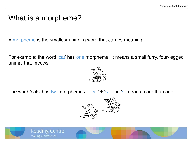### What is a morpheme?

A morpheme is the smallest unit of a word that carries meaning.

For example: the word 'cat' has one morpheme. It means a small furry, four-legged animal that meows.



The word 'cats' has two morphemes  $-$  'cat'  $+$  's'. The 's' means more than one.



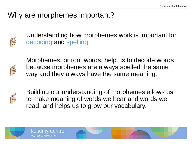### Why are morphemes important?



Understanding how morphemes work is important for decoding and spelling.



Morphemes, or root words, help us to decode words because morphemes are always spelled the same way and they always have the same meaning.



Building our understanding of morphemes allows us to make meaning of words we hear and words we read, and helps us to grow our vocabulary.



**Reading Centre** 

making a difference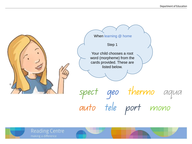

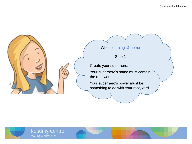

Your superhero's name must contain

Your superhero's power must be something to do with your root word.



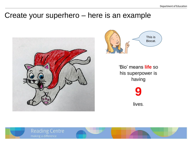### Create your superhero – here is an example





'Bio' means **life** so his superpower is having



lives.



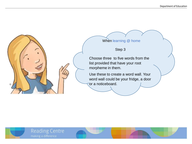

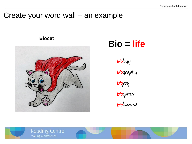### Create your word wall – an example

#### **Biocat**



# **Bio = life**

biology **bio**graphy biopsy biosphere

biohazard



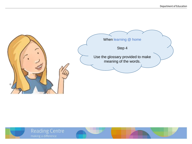

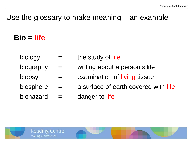### Use the glossary to make meaning – an example

## **Bio = life**

- $\begin{array}{ccc} \text{biology} & = & \text{the study of life} \end{array}$
- biography  $=$  writing about a person's life
- biopsy  $=$  examination of living tissue
- biosphere  $=$  a surface of earth covered with life
- $biohazard = danger to life$



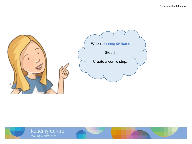

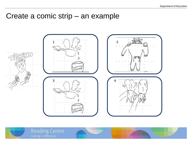### Create a comic strip - an example



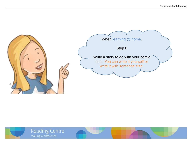

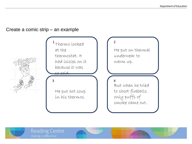#### Create a comic strip – an example